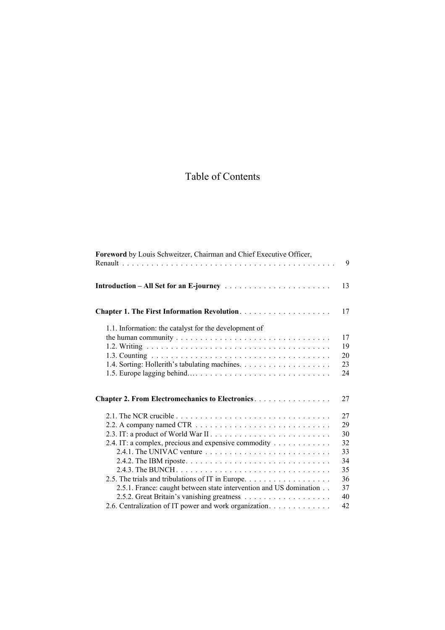## Table of Contents

| Foreword by Louis Schweitzer, Chairman and Chief Executive Officer, | 9  |
|---------------------------------------------------------------------|----|
|                                                                     | 13 |
|                                                                     | 17 |
| 1.1. Information: the catalyst for the development of               |    |
|                                                                     | 17 |
|                                                                     | 19 |
|                                                                     | 20 |
|                                                                     | 23 |
|                                                                     | 24 |
| <b>Chapter 2. From Electromechanics to Electronics</b>              | 27 |
|                                                                     | 27 |
|                                                                     | 29 |
|                                                                     | 30 |
| 2.4. IT: a complex, precious and expensive commodity                | 32 |
|                                                                     | 33 |
|                                                                     | 34 |
|                                                                     | 35 |
| 2.5. The trials and tribulations of IT in Europe.                   | 36 |
| 2.5.1. France: caught between state intervention and US domination  | 37 |
|                                                                     | 40 |
| 2.6. Centralization of IT power and work organization.              | 42 |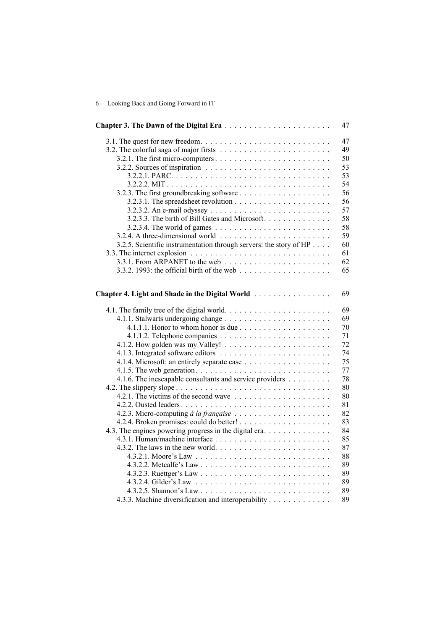|                                                                                         | 47       |
|-----------------------------------------------------------------------------------------|----------|
|                                                                                         | 47       |
|                                                                                         | 49       |
|                                                                                         | 50       |
| 3.2.2. Sources of inspiration $\ldots \ldots \ldots \ldots \ldots \ldots \ldots \ldots$ | 53       |
|                                                                                         | 53       |
|                                                                                         | 54       |
|                                                                                         | 56       |
|                                                                                         | 56       |
|                                                                                         | 57       |
| 3.2.3.3. The birth of Bill Gates and Microsoft.                                         | 58       |
|                                                                                         | 58       |
|                                                                                         | 59       |
| 3.2.5. Scientific instrumentation through servers: the story of HP                      | 60       |
|                                                                                         | 61       |
|                                                                                         | 62       |
|                                                                                         | 65       |
| Chapter 4. Light and Shade in the Digital World                                         | 69       |
|                                                                                         | 69       |
|                                                                                         | 69       |
| 4.1.1.1. Honor to whom honor is due $\ldots \ldots \ldots \ldots \ldots \ldots$         | 70       |
|                                                                                         | 71       |
|                                                                                         | 72       |
|                                                                                         | 74       |
|                                                                                         | 75       |
|                                                                                         | 77       |
| 4.1.6. The inescapable consultants and service providers                                | 78       |
|                                                                                         | 80       |
|                                                                                         | 80<br>81 |
|                                                                                         | 82       |
|                                                                                         | 83       |
| 4.3. The engines powering progress in the digital era                                   | 84       |
|                                                                                         | 85       |
|                                                                                         | 87       |
|                                                                                         | 88       |
|                                                                                         | 89       |
|                                                                                         | 89       |
|                                                                                         | 89       |
|                                                                                         |          |
|                                                                                         | 89       |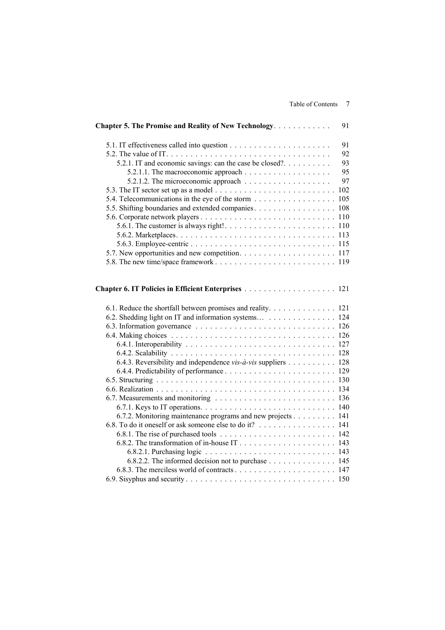| Chapter 5. The Promise and Reality of New Technology.         | 91 |
|---------------------------------------------------------------|----|
|                                                               | 91 |
|                                                               | 92 |
| 5.2.1. IT and economic savings: can the case be closed?       | 93 |
|                                                               | 95 |
|                                                               | 97 |
|                                                               |    |
| 5.4. Telecommunications in the eye of the storm 105           |    |
| 5.5. Shifting boundaries and extended companies. 108          |    |
|                                                               |    |
|                                                               |    |
|                                                               |    |
|                                                               |    |
|                                                               |    |
|                                                               |    |
| 6.1. Reduce the shortfall between promises and reality. 121   |    |
| 6.2. Shedding light on IT and information systems 124         |    |
|                                                               |    |
|                                                               |    |
|                                                               |    |
|                                                               |    |
| 6.4.3. Reversibility and independence vis-à-vis suppliers 128 |    |
|                                                               |    |
|                                                               |    |
|                                                               |    |
|                                                               |    |
|                                                               |    |
| 6.7.2. Monitoring maintenance programs and new projects 141   |    |
| 6.8. To do it oneself or ask someone else to do it? 141       |    |
|                                                               |    |
|                                                               |    |
|                                                               |    |
|                                                               |    |
| 6.8.2.2. The informed decision not to purchase 145            |    |
|                                                               |    |